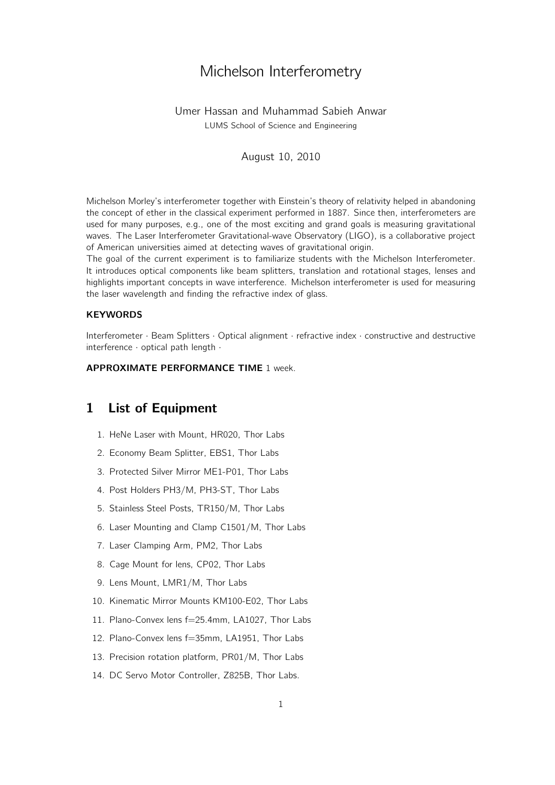# Michelson Interferometry

### Umer Hassan and Muhammad Sabieh Anwar LUMS School of Science and Engineering

#### August 10, 2010

Michelson Morley's interferometer together with Einstein's theory of relativity helped in abandoning the concept of ether in the classical experiment performed in 1887. Since then, interferometers are used for many purposes, e.g., one of the most exciting and grand goals is measuring gravitational waves. The Laser Interferometer Gravitational-wave Observatory (LIGO), is a collaborative project of American universities aimed at detecting waves of gravitational origin.

The goal of the current experiment is to familiarize students with the Michelson Interferometer. It introduces optical components like beam splitters, translation and rotational stages, lenses and highlights important concepts in wave interference. Michelson interferometer is used for measuring the laser wavelength and finding the refractive index of glass.

#### **KEYWORDS**

Interferometer *·* Beam Splitters *·* Optical alignment *·* refractive index *·* constructive and destructive interference *·* optical path length *·*

#### APPROXIMATE PERFORMANCE TIME 1 week.

## 1 List of Equipment

- 1. HeNe Laser with Mount, HR020, Thor Labs
- 2. Economy Beam Splitter, EBS1, Thor Labs
- 3. Protected Silver Mirror ME1-P01, Thor Labs
- 4. Post Holders PH3/M, PH3-ST, Thor Labs
- 5. Stainless Steel Posts, TR150/M, Thor Labs
- 6. Laser Mounting and Clamp C1501/M, Thor Labs
- 7. Laser Clamping Arm, PM2, Thor Labs
- 8. Cage Mount for lens, CP02, Thor Labs
- 9. Lens Mount, LMR1/M, Thor Labs
- 10. Kinematic Mirror Mounts KM100-E02, Thor Labs
- 11. Plano-Convex lens f=25*.*4mm, LA1027, Thor Labs
- 12. Plano-Convex lens f=35mm, LA1951, Thor Labs
- 13. Precision rotation platform, PR01/M, Thor Labs
- 14. DC Servo Motor Controller, Z825B, Thor Labs.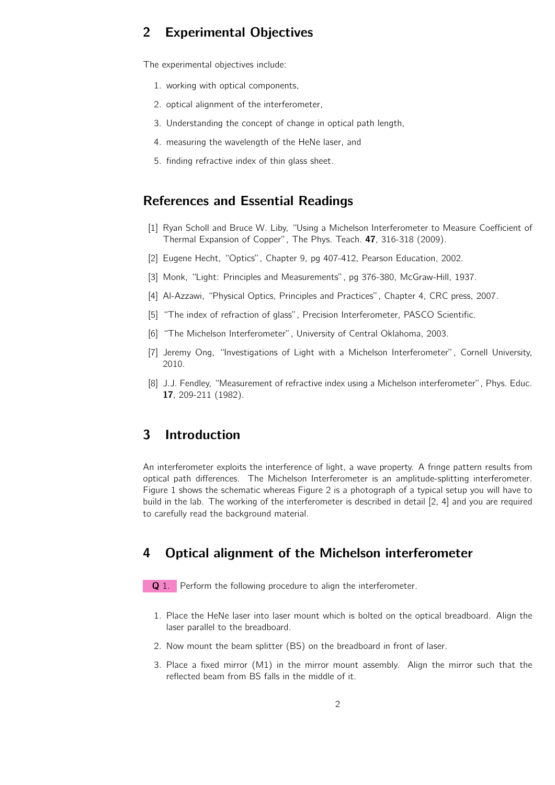# 2 Experimental Objectives

The experimental objectives include:

- 1. working with optical components,
- 2. optical alignment of the interferometer,
- 3. Understanding the concept of change in optical path length,
- 4. measuring the wavelength of the HeNe laser, and
- 5. finding refractive index of thin glass sheet.

### References and Essential Readings

- [1] Ryan Scholl and Bruce W. Liby, "Using a Michelson Interferometer to Measure Coefficient of Thermal Expansion of Copper", The Phys. Teach. 47, 316-318 (2009).
- [2] Eugene Hecht, "Optics", Chapter 9, pg 407-412, Pearson Education, 2002.
- [3] Monk, "Light: Principles and Measurements", pg 376-380, McGraw-Hill, 1937.
- [4] Al-Azzawi, "Physical Optics, Principles and Practices", Chapter 4, CRC press, 2007.
- [5] "The index of refraction of glass", Precision Interferometer, PASCO Scientific.
- [6] "The Michelson Interferometer", University of Central Oklahoma, 2003.
- [7] Jeremy Ong, "Investigations of Light with a Michelson Interferometer", Cornell University, 2010.
- [8] J.J. Fendley, "Measurement of refractive index using a Michelson interferometer", Phys. Educ. 17, 209-211 (1982).

### 3 Introduction

An interferometer exploits the interference of light, a wave property. A fringe pattern results from optical path differences. The Michelson Interferometer is an amplitude-splitting interferometer. Figure 1 shows the schematic whereas Figure 2 is a photograph of a typical setup you will have to build in the lab. The working of the interferometer is described in detail [2, 4] and you are required to carefully read the background material.

# 4 Optical alignment of the Michelson interferometer

Q 1. Perform the following procedure to align the interferometer.

- 1. Place the HeNe laser into laser mount which is bolted on the optical breadboard. Align the laser parallel to the breadboard.
- 2. Now mount the beam splitter (BS) on the breadboard in front of laser.
- 3. Place a fixed mirror (M1) in the mirror mount assembly. Align the mirror such that the reflected beam from BS falls in the middle of it.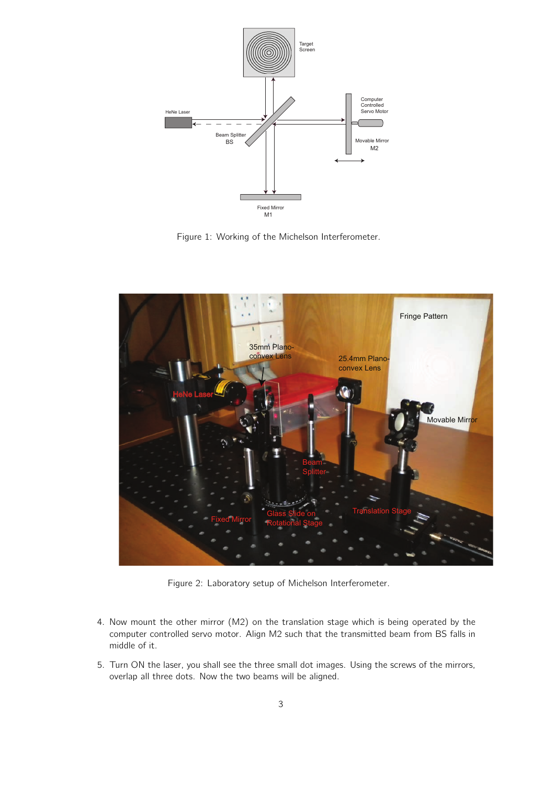

Figure 1: Working of the Michelson Interferometer.



Figure 2: Laboratory setup of Michelson Interferometer.

- 4. Now mount the other mirror (M2) on the translation stage which is being operated by the computer controlled servo motor. Align M2 such that the transmitted beam from BS falls in middle of it.
- 5. Turn ON the laser, you shall see the three small dot images. Using the screws of the mirrors, overlap all three dots. Now the two beams will be aligned.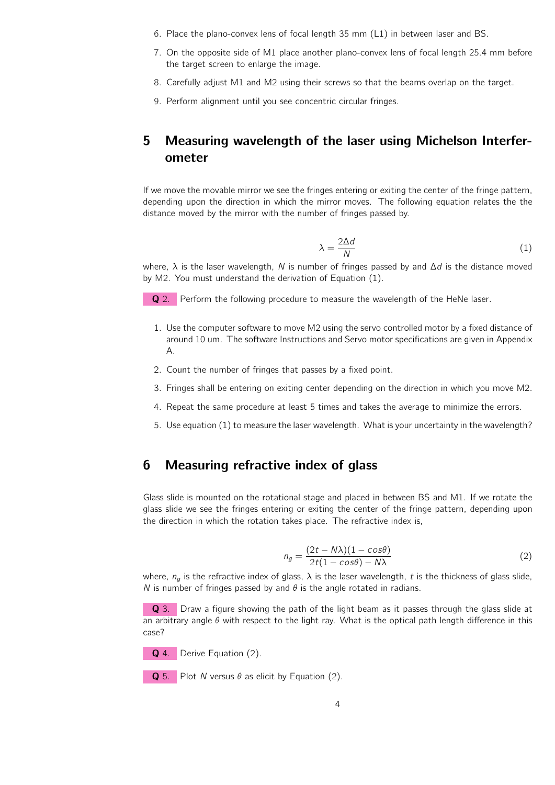- 6. Place the plano-convex lens of focal length 35 mm (L1) in between laser and BS.
- 7. On the opposite side of M1 place another plano-convex lens of focal length 25*.*4 mm before the target screen to enlarge the image.
- 8. Carefully adjust M1 and M2 using their screws so that the beams overlap on the target.
- 9. Perform alignment until you see concentric circular fringes.

# 5 Measuring wavelength of the laser using Michelson Interferometer

If we move the movable mirror we see the fringes entering or exiting the center of the fringe pattern, depending upon the direction in which the mirror moves. The following equation relates the the distance moved by the mirror with the number of fringes passed by.

$$
\lambda = \frac{2\Delta d}{N} \tag{1}
$$

where, *λ* is the laser wavelength, *N* is number of fringes passed by and ∆*d* is the distance moved by M2. You must understand the derivation of Equation (1).

Q 2. Perform the following procedure to measure the wavelength of the HeNe laser.

- 1. Use the computer software to move M2 using the servo controlled motor by a fixed distance of around 10 um. The software Instructions and Servo motor specifications are given in Appendix A.
- 2. Count the number of fringes that passes by a fixed point.
- 3. Fringes shall be entering on exiting center depending on the direction in which you move M2.
- 4. Repeat the same procedure at least 5 times and takes the average to minimize the errors.
- 5. Use equation (1) to measure the laser wavelength. What is your uncertainty in the wavelength?

### 6 Measuring refractive index of glass

Glass slide is mounted on the rotational stage and placed in between BS and M1. If we rotate the glass slide we see the fringes entering or exiting the center of the fringe pattern, depending upon the direction in which the rotation takes place. The refractive index is,

$$
n_g = \frac{(2t - N\lambda)(1 - \cos\theta)}{2t(1 - \cos\theta) - N\lambda}
$$
\n(2)

where,  $n_q$  is the refractive index of glass,  $\lambda$  is the laser wavelength, *t* is the thickness of glass slide, *N* is number of fringes passed by and *θ* is the angle rotated in radians.

Q 3. Draw a figure showing the path of the light beam as it passes through the glass slide at an arbitrary angle *θ* with respect to the light ray. What is the optical path length difference in this case?

Q 4. Derive Equation (2).

Q 5. Plot *N* versus *θ* as elicit by Equation (2).